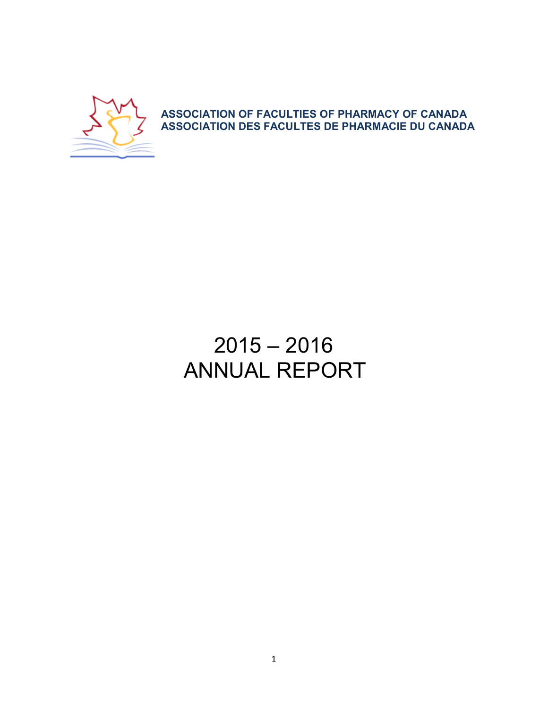

ASSOCIATION OF FACULTIES OF PHARMACY OF CANADA ASSOCIATION DES FACULTES DE PHARMACIE DU CANADA

# 2015 – 2016 ANNUAL REPORT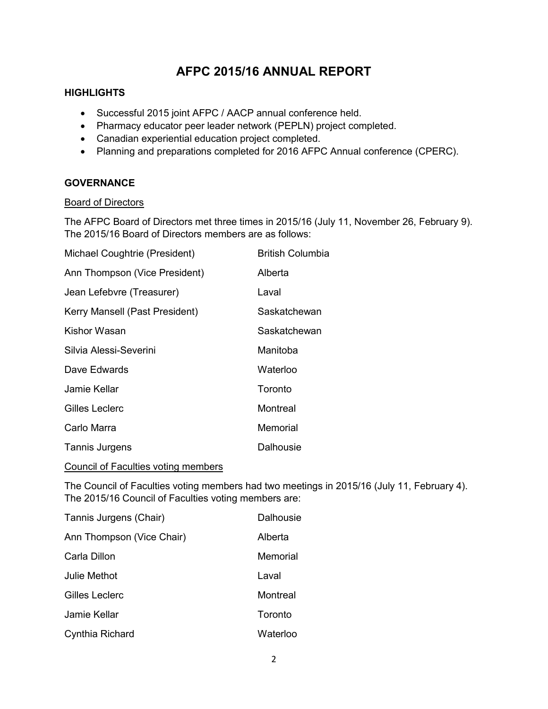# AFPC 2015/16 ANNUAL REPORT

# **HIGHLIGHTS**

- Successful 2015 joint AFPC / AACP annual conference held.
- Pharmacy educator peer leader network (PEPLN) project completed.
- Canadian experiential education project completed.
- Planning and preparations completed for 2016 AFPC Annual conference (CPERC).

# **GOVERNANCE**

#### Board of Directors

The AFPC Board of Directors met three times in 2015/16 (July 11, November 26, February 9). The 2015/16 Board of Directors members are as follows:

| Michael Coughtrie (President)  | British Columbia |
|--------------------------------|------------------|
| Ann Thompson (Vice President)  | Alberta          |
| Jean Lefebvre (Treasurer)      | Laval            |
| Kerry Mansell (Past President) | Saskatchewan     |
| Kishor Wasan                   | Saskatchewan     |
| Silvia Alessi-Severini         | Manitoba         |
| Dave Edwards                   | Waterloo         |
| Jamie Kellar                   | Toronto          |
| Gilles Leclerc                 | Montreal         |
| Carlo Marra                    | Memorial         |
| <b>Tannis Jurgens</b>          | Dalhousie        |

Council of Faculties voting members

The Council of Faculties voting members had two meetings in 2015/16 (July 11, February 4). The 2015/16 Council of Faculties voting members are:

| Tannis Jurgens (Chair)    | Dalhousie |
|---------------------------|-----------|
| Ann Thompson (Vice Chair) | Alberta   |
| Carla Dillon              | Memorial  |
| Julie Methot              | Laval     |
| <b>Gilles Leclerc</b>     | Montreal  |
| Jamie Kellar              | Toronto   |
| Cynthia Richard           | Waterloo  |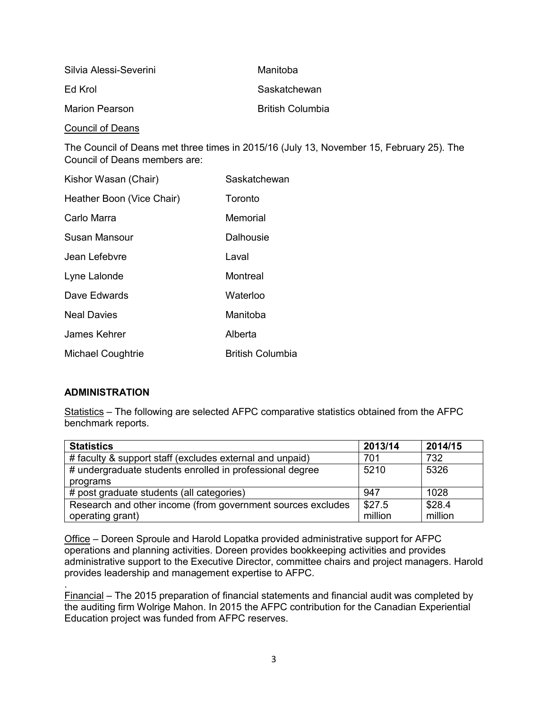| Silvia Alessi-Severini | Manitoba                |
|------------------------|-------------------------|
| Fd Krol                | Saskatchewan            |
| Marion Pearson         | <b>British Columbia</b> |

Council of Deans

The Council of Deans met three times in 2015/16 (July 13, November 15, February 25). The Council of Deans members are:

| Kishor Wasan (Chair)      | Saskatchewan            |
|---------------------------|-------------------------|
| Heather Boon (Vice Chair) | Toronto                 |
| Carlo Marra               | Memorial                |
| Susan Mansour             | Dalhousie               |
| Jean Lefebvre             | Laval                   |
| Lyne Lalonde              | Montreal                |
| Dave Edwards              | Waterloo                |
| <b>Neal Davies</b>        | Manitoba                |
| James Kehrer              | Alberta                 |
| Michael Coughtrie         | <b>British Columbia</b> |

# ADMINISTRATION

Statistics – The following are selected AFPC comparative statistics obtained from the AFPC benchmark reports.

| <b>Statistics</b>                                           | 2013/14 | 2014/15 |
|-------------------------------------------------------------|---------|---------|
| # faculty & support staff (excludes external and unpaid)    | 701     | 732     |
| # undergraduate students enrolled in professional degree    | 5210    | 5326    |
| programs                                                    |         |         |
| # post graduate students (all categories)                   | 947     | 1028    |
| Research and other income (from government sources excludes | \$27.5  | \$28.4  |
| operating grant)                                            | million | million |

Office – Doreen Sproule and Harold Lopatka provided administrative support for AFPC operations and planning activities. Doreen provides bookkeeping activities and provides administrative support to the Executive Director, committee chairs and project managers. Harold provides leadership and management expertise to AFPC.

. Financial – The 2015 preparation of financial statements and financial audit was completed by the auditing firm Wolrige Mahon. In 2015 the AFPC contribution for the Canadian Experiential Education project was funded from AFPC reserves.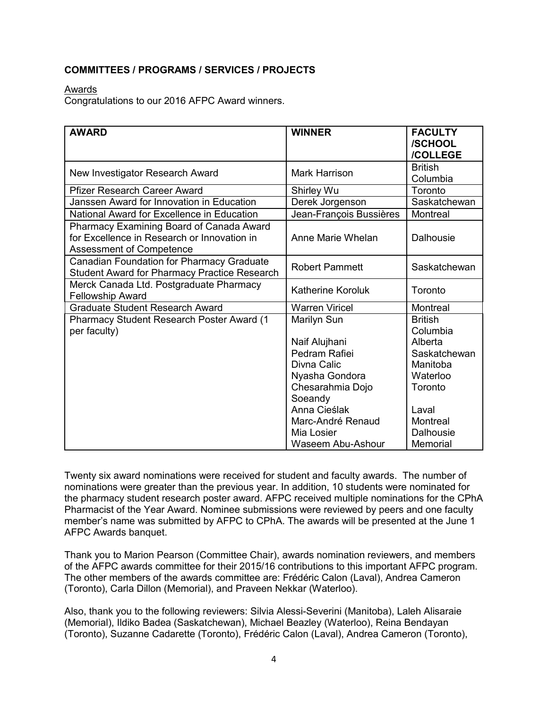# COMMITTEES / PROGRAMS / SERVICES / PROJECTS

Awards

Congratulations to our 2016 AFPC Award winners.

| <b>AWARD</b>                                                                                                               | <b>WINNER</b>            | <b>FACULTY</b><br>/SCHOOL<br>/COLLEGE |
|----------------------------------------------------------------------------------------------------------------------------|--------------------------|---------------------------------------|
| New Investigator Research Award                                                                                            | Mark Harrison            | <b>British</b><br>Columbia            |
| <b>Pfizer Research Career Award</b>                                                                                        | Shirley Wu               | Toronto                               |
| Janssen Award for Innovation in Education                                                                                  | Derek Jorgenson          | Saskatchewan                          |
| National Award for Excellence in Education                                                                                 | Jean-François Bussières  | Montreal                              |
| Pharmacy Examining Board of Canada Award<br>for Excellence in Research or Innovation in<br><b>Assessment of Competence</b> | Anne Marie Whelan        | <b>Dalhousie</b>                      |
| <b>Canadian Foundation for Pharmacy Graduate</b><br><b>Student Award for Pharmacy Practice Research</b>                    | <b>Robert Pammett</b>    | Saskatchewan                          |
| Merck Canada Ltd. Postgraduate Pharmacy<br><b>Fellowship Award</b>                                                         | <b>Katherine Koroluk</b> | Toronto                               |
| <b>Graduate Student Research Award</b>                                                                                     | <b>Warren Viricel</b>    | Montreal                              |
| Pharmacy Student Research Poster Award (1<br>per faculty)                                                                  | Marilyn Sun              | <b>British</b><br>Columbia            |
|                                                                                                                            | Naif Alujhani            | Alberta                               |
|                                                                                                                            | Pedram Rafiei            | Saskatchewan                          |
|                                                                                                                            | Divna Calic              | Manitoba                              |
|                                                                                                                            | Nyasha Gondora           | Waterloo                              |
|                                                                                                                            | Chesarahmia Dojo         | Toronto                               |
|                                                                                                                            | Soeandy                  |                                       |
|                                                                                                                            | Anna Cieślak             | Laval                                 |
|                                                                                                                            | Marc-André Renaud        | Montreal                              |
|                                                                                                                            | Mia Losier               | <b>Dalhousie</b>                      |
|                                                                                                                            | Waseem Abu-Ashour        | Memorial                              |

Twenty six award nominations were received for student and faculty awards. The number of nominations were greater than the previous year. In addition, 10 students were nominated for the pharmacy student research poster award. AFPC received multiple nominations for the CPhA Pharmacist of the Year Award. Nominee submissions were reviewed by peers and one faculty member's name was submitted by AFPC to CPhA. The awards will be presented at the June 1 AFPC Awards banquet.

Thank you to Marion Pearson (Committee Chair), awards nomination reviewers, and members of the AFPC awards committee for their 2015/16 contributions to this important AFPC program. The other members of the awards committee are: Frédéric Calon (Laval), Andrea Cameron (Toronto), Carla Dillon (Memorial), and Praveen Nekkar (Waterloo).

Also, thank you to the following reviewers: Silvia Alessi-Severini (Manitoba), Laleh Alisaraie (Memorial), Ildiko Badea (Saskatchewan), Michael Beazley (Waterloo), Reina Bendayan (Toronto), Suzanne Cadarette (Toronto), Frédéric Calon (Laval), Andrea Cameron (Toronto),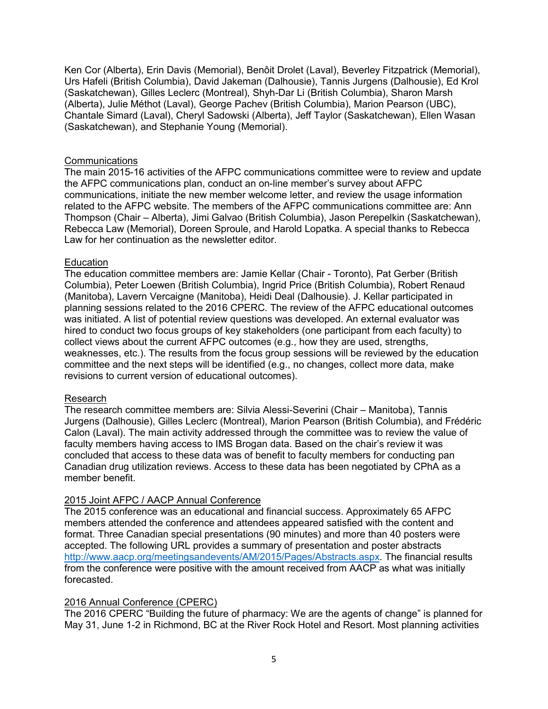Ken Cor (Alberta), Erin Davis (Memorial), Benôit Drolet (Laval), Beverley Fitzpatrick (Memorial), Urs Hafeli (British Columbia), David Jakeman (Dalhousie), Tannis Jurgens (Dalhousie), Ed Krol (Saskatchewan), Gilles Leclerc (Montreal), Shyh-Dar Li (British Columbia), Sharon Marsh (Alberta), Julie Méthot (Laval), George Pachev (British Columbia), Marion Pearson (UBC), Chantale Simard (Laval), Cheryl Sadowski (Alberta), Jeff Taylor (Saskatchewan), Ellen Wasan (Saskatchewan), and Stephanie Young (Memorial).

#### **Communications**

The main 2015-16 activities of the AFPC communications committee were to review and update the AFPC communications plan, conduct an on-line member's survey about AFPC communications, initiate the new member welcome letter, and review the usage information related to the AFPC website. The members of the AFPC communications committee are: Ann Thompson (Chair – Alberta), Jimi Galvao (British Columbia), Jason Perepelkin (Saskatchewan), Rebecca Law (Memorial), Doreen Sproule, and Harold Lopatka. A special thanks to Rebecca Law for her continuation as the newsletter editor.

#### **Education**

The education committee members are: Jamie Kellar (Chair - Toronto), Pat Gerber (British Columbia), Peter Loewen (British Columbia), Ingrid Price (British Columbia), Robert Renaud (Manitoba), Lavern Vercaigne (Manitoba), Heidi Deal (Dalhousie). J. Kellar participated in planning sessions related to the 2016 CPERC. The review of the AFPC educational outcomes was initiated. A list of potential review questions was developed. An external evaluator was hired to conduct two focus groups of key stakeholders (one participant from each faculty) to collect views about the current AFPC outcomes (e.g., how they are used, strengths, weaknesses, etc.). The results from the focus group sessions will be reviewed by the education committee and the next steps will be identified (e.g., no changes, collect more data, make revisions to current version of educational outcomes).

# Research

The research committee members are: Silvia Alessi-Severini (Chair – Manitoba), Tannis Jurgens (Dalhousie), Gilles Leclerc (Montreal), Marion Pearson (British Columbia), and Frédéric Calon (Laval). The main activity addressed through the committee was to review the value of faculty members having access to IMS Brogan data. Based on the chair's review it was concluded that access to these data was of benefit to faculty members for conducting pan Canadian drug utilization reviews. Access to these data has been negotiated by CPhA as a member benefit.

# 2015 Joint AFPC / AACP Annual Conference

The 2015 conference was an educational and financial success. Approximately 65 AFPC members attended the conference and attendees appeared satisfied with the content and format. Three Canadian special presentations (90 minutes) and more than 40 posters were accepted. The following URL provides a summary of presentation and poster abstracts <http://www.aacp.org/meetingsandevents/AM/2015/Pages/Abstracts.aspx>. The financial results from the conference were positive with the amount received from AACP as what was initially forecasted.

# 2016 Annual Conference (CPERC)

The 2016 CPERC "Building the future of pharmacy: We are the agents of change" is planned for May 31, June 1-2 in Richmond, BC at the River Rock Hotel and Resort. Most planning activities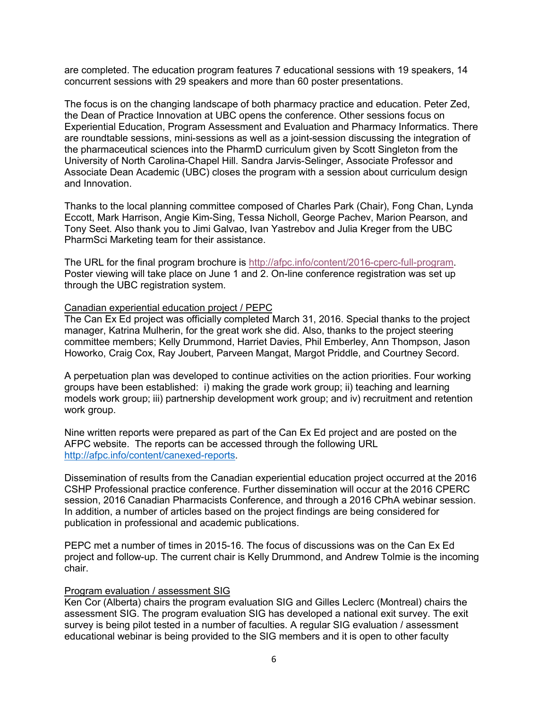are completed. The education program features 7 educational sessions with 19 speakers, 14 concurrent sessions with 29 speakers and more than 60 poster presentations.

The focus is on the changing landscape of both pharmacy practice and education. Peter Zed, the Dean of Practice Innovation at UBC opens the conference. Other sessions focus on Experiential Education, Program Assessment and Evaluation and Pharmacy Informatics. There are roundtable sessions, mini-sessions as well as a joint-session discussing the integration of the pharmaceutical sciences into the PharmD curriculum given by Scott Singleton from the University of North Carolina-Chapel Hill. Sandra Jarvis-Selinger, Associate Professor and Associate Dean Academic (UBC) closes the program with a session about curriculum design and Innovation.

Thanks to the local planning committee composed of Charles Park (Chair), Fong Chan, Lynda Eccott, Mark Harrison, Angie Kim-Sing, Tessa Nicholl, George Pachev, Marion Pearson, and Tony Seet. Also thank you to Jimi Galvao, Ivan Yastrebov and Julia Kreger from the UBC PharmSci Marketing team for their assistance.

The URL for the final program brochure is<http://afpc.info/content/2016-cperc-full-program>. Poster viewing will take place on June 1 and 2. On-line conference registration was set up through the UBC registration system.

#### Canadian experiential education project / PEPC

The Can Ex Ed project was officially completed March 31, 2016. Special thanks to the project manager, Katrina Mulherin, for the great work she did. Also, thanks to the project steering committee members; Kelly Drummond, Harriet Davies, Phil Emberley, Ann Thompson, Jason Howorko, Craig Cox, Ray Joubert, Parveen Mangat, Margot Priddle, and Courtney Secord.

A perpetuation plan was developed to continue activities on the action priorities. Four working groups have been established: i) making the grade work group; ii) teaching and learning models work group; iii) partnership development work group; and iv) recruitment and retention work group.

Nine written reports were prepared as part of the Can Ex Ed project and are posted on the AFPC website. The reports can be accessed through the following URL <http://afpc.info/content/canexed-reports>.

Dissemination of results from the Canadian experiential education project occurred at the 2016 CSHP Professional practice conference. Further dissemination will occur at the 2016 CPERC session, 2016 Canadian Pharmacists Conference, and through a 2016 CPhA webinar session. In addition, a number of articles based on the project findings are being considered for publication in professional and academic publications.

PEPC met a number of times in 2015-16. The focus of discussions was on the Can Ex Ed project and follow-up. The current chair is Kelly Drummond, and Andrew Tolmie is the incoming chair.

#### Program evaluation / assessment SIG

Ken Cor (Alberta) chairs the program evaluation SIG and Gilles Leclerc (Montreal) chairs the assessment SIG. The program evaluation SIG has developed a national exit survey. The exit survey is being pilot tested in a number of faculties. A regular SIG evaluation / assessment educational webinar is being provided to the SIG members and it is open to other faculty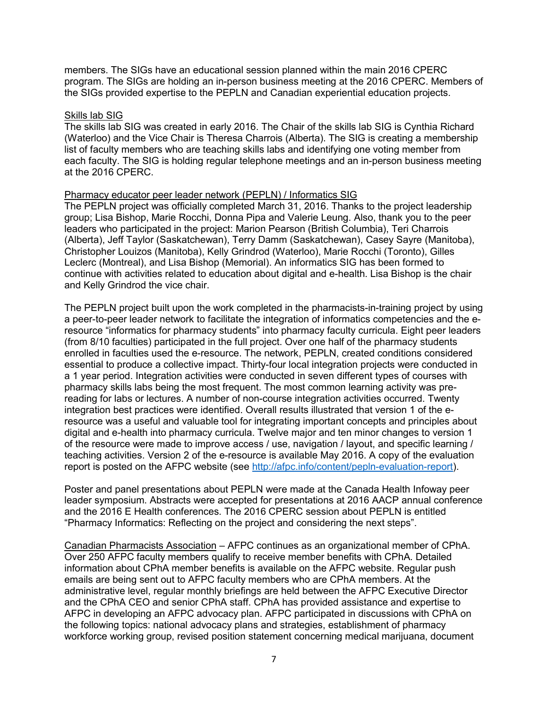members. The SIGs have an educational session planned within the main 2016 CPERC program. The SIGs are holding an in-person business meeting at the 2016 CPERC. Members of the SIGs provided expertise to the PEPLN and Canadian experiential education projects.

#### Skills lab SIG

The skills lab SIG was created in early 2016. The Chair of the skills lab SIG is Cynthia Richard (Waterloo) and the Vice Chair is Theresa Charrois (Alberta). The SIG is creating a membership list of faculty members who are teaching skills labs and identifying one voting member from each faculty. The SIG is holding regular telephone meetings and an in-person business meeting at the 2016 CPERC.

#### Pharmacy educator peer leader network (PEPLN) / Informatics SIG

The PEPLN project was officially completed March 31, 2016. Thanks to the project leadership group; Lisa Bishop, Marie Rocchi, Donna Pipa and Valerie Leung. Also, thank you to the peer leaders who participated in the project: Marion Pearson (British Columbia), Teri Charrois (Alberta), Jeff Taylor (Saskatchewan), Terry Damm (Saskatchewan), Casey Sayre (Manitoba), Christopher Louizos (Manitoba), Kelly Grindrod (Waterloo), Marie Rocchi (Toronto), Gilles Leclerc (Montreal), and Lisa Bishop (Memorial). An informatics SIG has been formed to continue with activities related to education about digital and e-health. Lisa Bishop is the chair and Kelly Grindrod the vice chair.

The PEPLN project built upon the work completed in the pharmacists-in-training project by using a peer-to-peer leader network to facilitate the integration of informatics competencies and the eresource "informatics for pharmacy students" into pharmacy faculty curricula. Eight peer leaders (from 8/10 faculties) participated in the full project. Over one half of the pharmacy students enrolled in faculties used the e-resource. The network, PEPLN, created conditions considered essential to produce a collective impact. Thirty-four local integration projects were conducted in a 1 year period. Integration activities were conducted in seven different types of courses with pharmacy skills labs being the most frequent. The most common learning activity was prereading for labs or lectures. A number of non-course integration activities occurred. Twenty integration best practices were identified. Overall results illustrated that version 1 of the eresource was a useful and valuable tool for integrating important concepts and principles about digital and e-health into pharmacy curricula. Twelve major and ten minor changes to version 1 of the resource were made to improve access / use, navigation / layout, and specific learning / teaching activities. Version 2 of the e-resource is available May 2016. A copy of the evaluation report is posted on the AFPC website (see <http://afpc.info/content/pepln-evaluation-report>).

Poster and panel presentations about PEPLN were made at the Canada Health Infoway peer leader symposium. Abstracts were accepted for presentations at 2016 AACP annual conference and the 2016 E Health conferences. The 2016 CPERC session about PEPLN is entitled "Pharmacy Informatics: Reflecting on the project and considering the next steps".

Canadian Pharmacists Association – AFPC continues as an organizational member of CPhA. Over 250 AFPC faculty members qualify to receive member benefits with CPhA. Detailed information about CPhA member benefits is available on the AFPC website. Regular push emails are being sent out to AFPC faculty members who are CPhA members. At the administrative level, regular monthly briefings are held between the AFPC Executive Director and the CPhA CEO and senior CPhA staff. CPhA has provided assistance and expertise to AFPC in developing an AFPC advocacy plan. AFPC participated in discussions with CPhA on the following topics: national advocacy plans and strategies, establishment of pharmacy workforce working group, revised position statement concerning medical marijuana, document